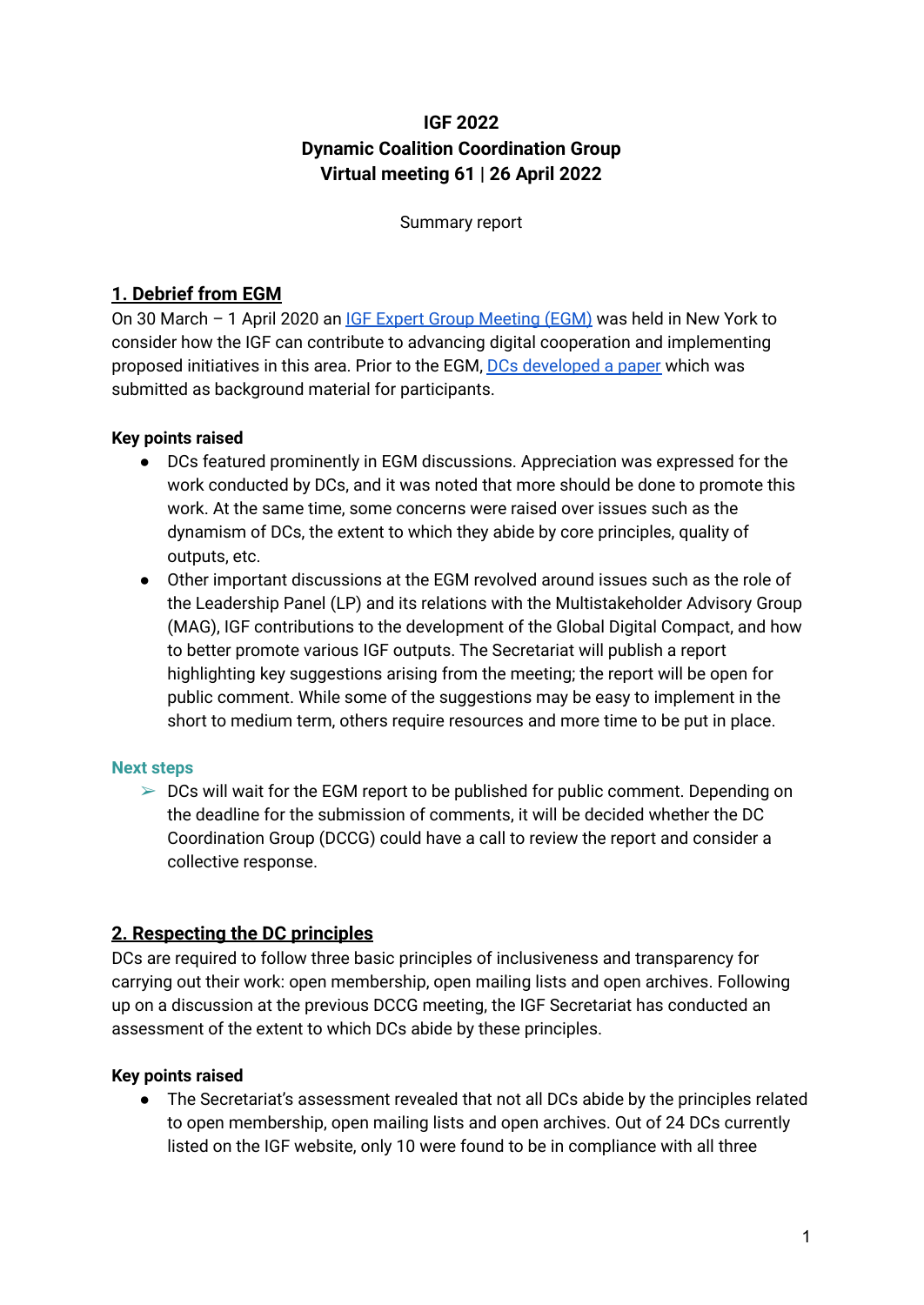# **IGF 2022 Dynamic Coalition Coordination Group Virtual meeting 61 | 26 April 2022**

Summary report

# **1. Debrief from EGM**

On 30 March – 1 April 2020 an IGF Expert Group [Meeting](https://www.intgovforum.org/en/content/igf-expert-group-meeting-egm) (EGM) was held in New York to consider how the IGF can contribute to advancing digital cooperation and implementing proposed initiatives in this area. Prior to the EGM, DCs [developed](https://www.intgovforum.org/en/filedepot_download/36/21179) a paper which was submitted as background material for participants.

## **Key points raised**

- DCs featured prominently in EGM discussions. Appreciation was expressed for the work conducted by DCs, and it was noted that more should be done to promote this work. At the same time, some concerns were raised over issues such as the dynamism of DCs, the extent to which they abide by core principles, quality of outputs, etc.
- Other important discussions at the EGM revolved around issues such as the role of the Leadership Panel (LP) and its relations with the Multistakeholder Advisory Group (MAG), IGF contributions to the development of the Global Digital Compact, and how to better promote various IGF outputs. The Secretariat will publish a report highlighting key suggestions arising from the meeting; the report will be open for public comment. While some of the suggestions may be easy to implement in the short to medium term, others require resources and more time to be put in place.

#### **Next steps**

 $\geq$  DCs will wait for the EGM report to be published for public comment. Depending on the deadline for the submission of comments, it will be decided whether the DC Coordination Group (DCCG) could have a call to review the report and consider a collective response.

# **2. Respecting the DC principles**

DCs are required to follow three basic principles of inclusiveness and transparency for carrying out their work: open membership, open mailing lists and open archives. Following up on a discussion at the previous DCCG meeting, the IGF Secretariat has conducted an assessment of the extent to which DCs abide by these principles.

## **Key points raised**

● The Secretariat's assessment revealed that not all DCs abide by the principles related to open membership, open mailing lists and open archives. Out of 24 DCs currently listed on the IGF website, only 10 were found to be in compliance with all three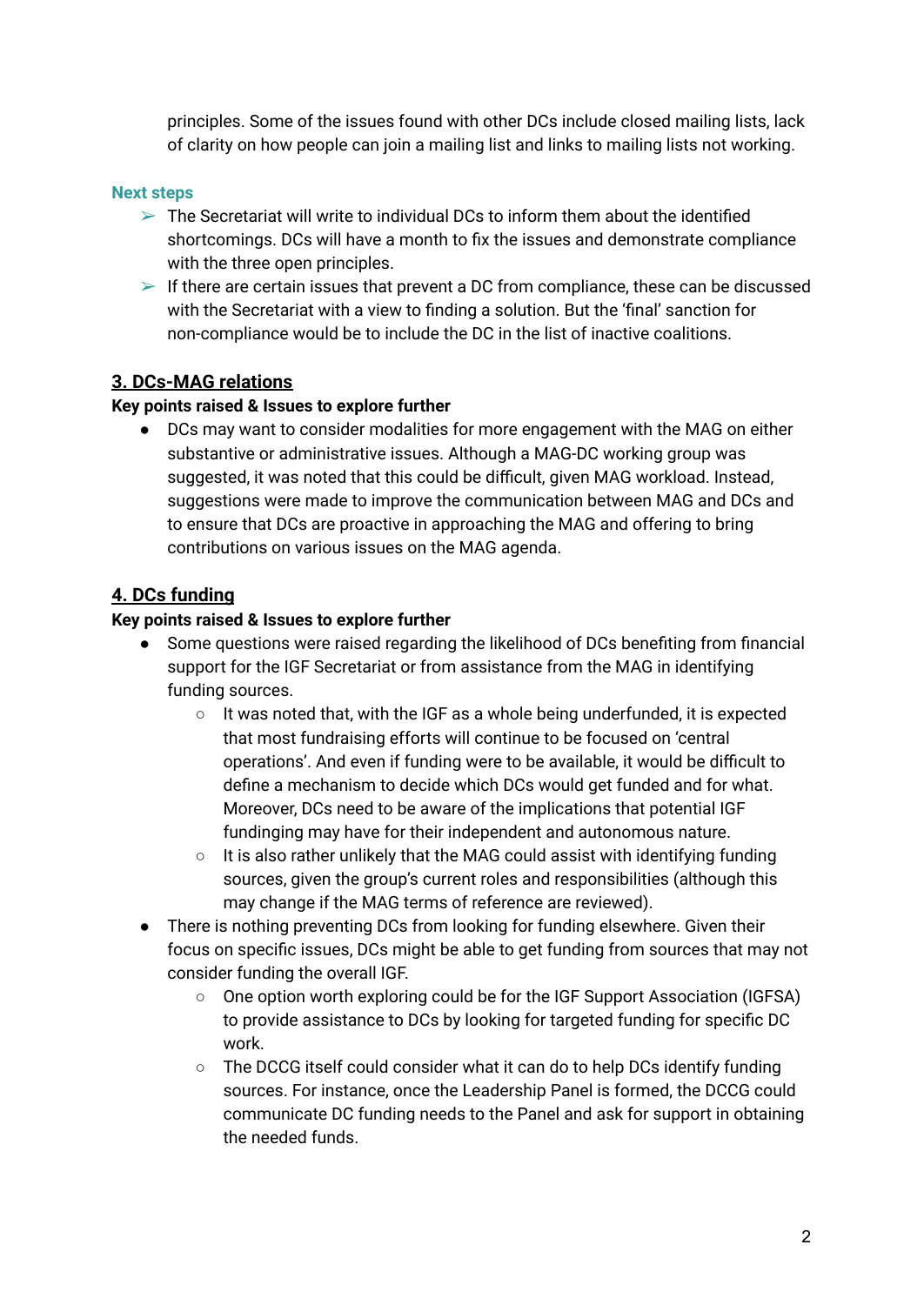principles. Some of the issues found with other DCs include closed mailing lists, lack of clarity on how people can join a mailing list and links to mailing lists not working.

#### **Next steps**

- $\triangleright$  The Secretariat will write to individual DCs to inform them about the identified shortcomings. DCs will have a month to fix the issues and demonstrate compliance with the three open principles.
- $\triangleright$  If there are certain issues that prevent a DC from compliance, these can be discussed with the Secretariat with a view to finding a solution. But the 'final' sanction for non-compliance would be to include the DC in the list of inactive coalitions.

## **3. DCs-MAG relations**

#### **Key points raised & Issues to explore further**

● DCs may want to consider modalities for more engagement with the MAG on either substantive or administrative issues. Although a MAG-DC working group was suggested, it was noted that this could be difficult, given MAG workload. Instead, suggestions were made to improve the communication between MAG and DCs and to ensure that DCs are proactive in approaching the MAG and offering to bring contributions on various issues on the MAG agenda.

# **4. DCs funding**

#### **Key points raised & Issues to explore further**

- Some questions were raised regarding the likelihood of DCs benefiting from financial support for the IGF Secretariat or from assistance from the MAG in identifying funding sources.
	- It was noted that, with the IGF as a whole being underfunded, it is expected that most fundraising efforts will continue to be focused on 'central operations'. And even if funding were to be available, it would be difficult to define a mechanism to decide which DCs would get funded and for what. Moreover, DCs need to be aware of the implications that potential IGF fundinging may have for their independent and autonomous nature.
	- It is also rather unlikely that the MAG could assist with identifying funding sources, given the group's current roles and responsibilities (although this may change if the MAG terms of reference are reviewed).
- There is nothing preventing DCs from looking for funding elsewhere. Given their focus on specific issues, DCs might be able to get funding from sources that may not consider funding the overall IGF.
	- One option worth exploring could be for the IGF Support Association (IGFSA) to provide assistance to DCs by looking for targeted funding for specific DC work.
	- The DCCG itself could consider what it can do to help DCs identify funding sources. For instance, once the Leadership Panel is formed, the DCCG could communicate DC funding needs to the Panel and ask for support in obtaining the needed funds.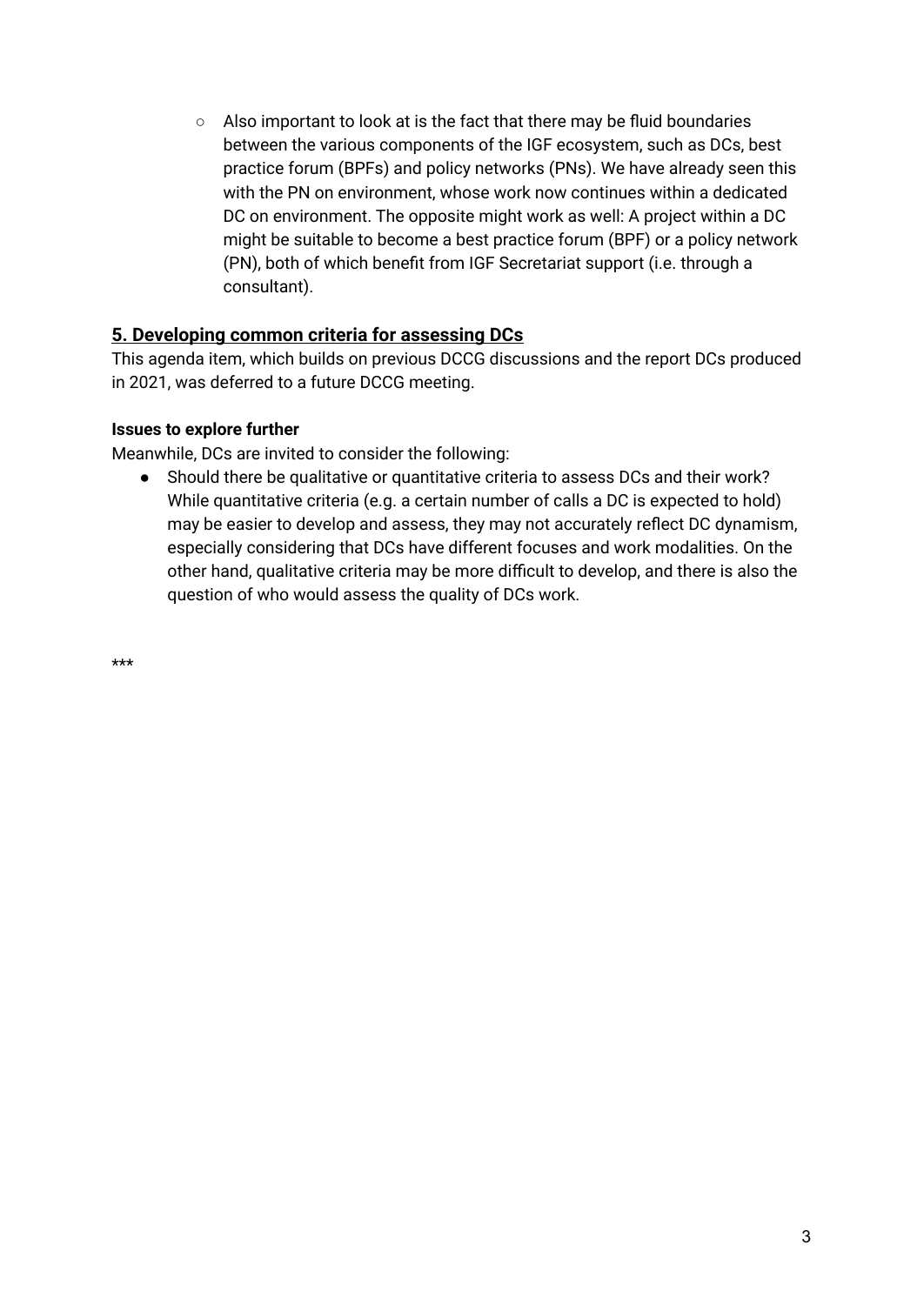○ Also important to look at is the fact that there may be fluid boundaries between the various components of the IGF ecosystem, such as DCs, best practice forum (BPFs) and policy networks (PNs). We have already seen this with the PN on environment, whose work now continues within a dedicated DC on environment. The opposite might work as well: A project within a DC might be suitable to become a best practice forum (BPF) or a policy network (PN), both of which benefit from IGF Secretariat support (i.e. through a consultant).

# **5. Developing common criteria for assessing DCs**

This agenda item, which builds on previous DCCG discussions and the report DCs produced in 2021, was deferred to a future DCCG meeting.

#### **Issues to explore further**

Meanwhile, DCs are invited to consider the following:

● Should there be qualitative or quantitative criteria to assess DCs and their work? While quantitative criteria (e.g. a certain number of calls a DC is expected to hold) may be easier to develop and assess, they may not accurately reflect DC dynamism, especially considering that DCs have different focuses and work modalities. On the other hand, qualitative criteria may be more difficult to develop, and there is also the question of who would assess the quality of DCs work.

\*\*\*